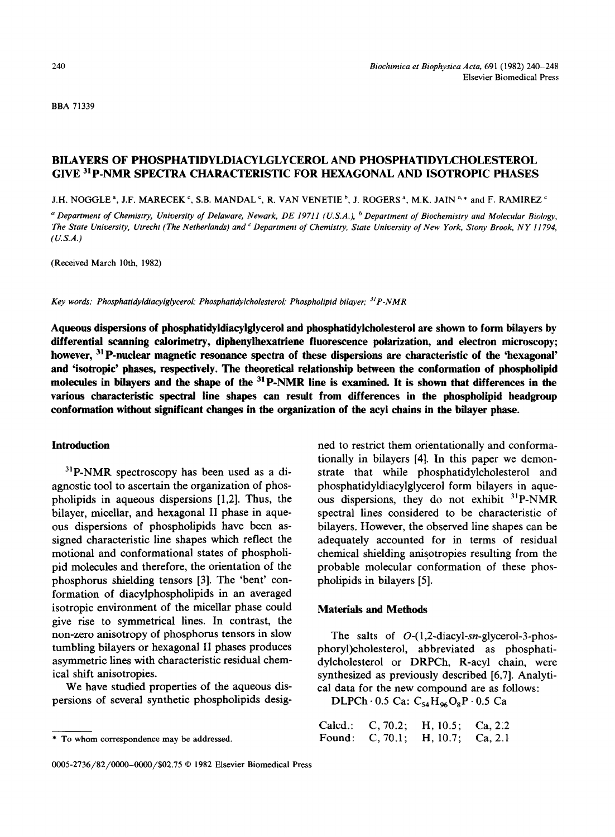BBA 71339

# BILAYERS OF PHOSPHATIDYLDIACYLGLYCEROL AND PHOSPHATIDYLCHOLESTEROL **GIVE 31p.NMR** SPECTRA CHARACTERISTIC FOR HEXAGONAL AND ISOTROPIC PHASES

J.H. NOGGLE<sup>a</sup>, J.F. MARECEK<sup>c</sup>, S.B. MANDAL<sup>c</sup>, R. VAN VENETIE<sup>b</sup>, J. ROGERS<sup>a</sup>, M.K. JAIN<sup>a,\*</sup> and F. RAMIREZ<sup>c</sup>

*a Department of Chemistry, University of Delaware, Newark, DE 19711 (U.S.A.), <sup>b</sup> Department of Biochemistry and Molecular Biology, The State University, Utrecht (The Netherlands) and c Department of Chemistry, State University of New York, Stony Brook, NY 11794, (U.S.A.)* 

(Received March 10th, 1982)

*Key words: Phosphatidyldiacylglycerol," Phosphatidylcholesterol," Phospholipid bilayer; 31p-NMR* 

**Aqueous dispersions of phosphatidyidiacylglyceroi and phosphatidyicholesteroi are shown to form bilayers by differential scanning calorimetry, diphenylhexatriene fluorescence polarization, and electron microscopy; however, 3~ P-nuclear magnetic resonance spectra of these dispersions are characteristic of the 'hexagonal' and 'isotropic' phases, respectively. The theoretical relationship between the conformation of phospholipid**  molecules in bilayers and the shape of the <sup>31</sup> P-NMR line is examined. It is shown that differences in the **various characteristic spectral line shapes can result from differences in the phospholipid headgroup conformation without significant changes in the organization of the acyi chains in the bilayer phase.** 

### **Introduction**

 $3^{1}P\text{-NMR}$  spectroscopy has been used as a diagnostic tool to ascertain the organization of phospholipids in aqueous dispersions [1,2]. Thus, the bilayer, micellar, and hexagonal II phase in aqueous dispersions of phospholipids have been assigned characteristic line shapes which reflect the motional and conformational states of phospholipid molecules and therefore, the orientation of the phosphorus shielding tensors [3]. The 'bent' conformation of diacylphospholipids in an averaged isotropic environment of the micellar phase could give rise to symmetrical lines. In contrast, the non-zero anisotropy of phosphorus tensors in slow tumbling bilayers or hexagonal II phases produces asymmetric lines with characteristic residual chemical shift anisotropies.

We have studied properties of the aqueous dispersions of several synthetic phospholipids designed to restrict them orientationally and conformationally in bilayers [4]. In this paper we demonstrate that while phosphatidylcholesterol and phosphatidyldiacylglycerol form bilayers in aqueous dispersions, they do not exhibit <sup>31</sup>P-NMR spectral lines considered to be characteristic of bilayers. However, the observed line shapes can be adequately accounted for in terms of residual chemical shielding anisotropies resulting from the probable molecular conformation of these phospholipids in bilayers [5].

### **Materials and Methods**

The salts of *O-(1,2-diacyl-sn-glycerol-3-phos*phoryl)cholesterol, abbreviated as phosphatidylcholesterol or DRPCh, R-acyl chain, were synthesized as previously described [6,7]. Analytical data for the new compound are as follows:

DLPCh $\cdot$  0.5 Ca: C<sub>54</sub>H<sub>96</sub>O<sub>s</sub>P $\cdot$ 0.5 Ca

| Calcd.: |                   | C, 70.2; H, 10.5; Ca, 2.2 |  |
|---------|-------------------|---------------------------|--|
|         | Found: $C, 70.1;$ | $H, 10.7$ ; Ca, 2.1       |  |

<sup>\*</sup> To whom correspondence may be addressed.

<sup>0005-2736/82/0000-0000/\$02.75 © 1982</sup> Elsevier Biomedical Press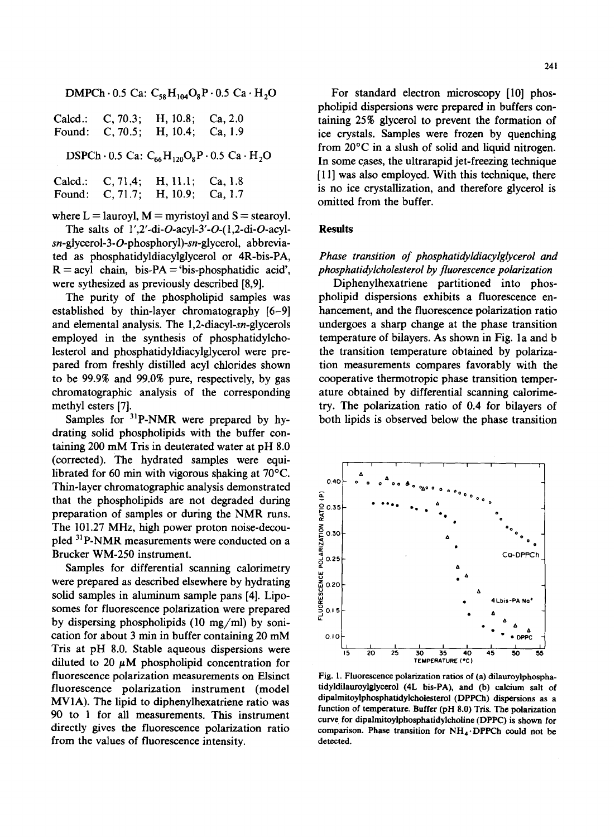DMPCh $\cdot$  0.5 Ca: C<sub>58</sub>H<sub>104</sub>O<sub>8</sub>P $\cdot$  0.5 Ca $\cdot$  H<sub>2</sub>O

|  | Calcd.: C, 70.3; H, 10.8; Ca, 2.0 |  |
|--|-----------------------------------|--|
|  | Found: C, 70.5; H, 10.4; Ca, 1.9  |  |

DSPCh $\cdot$  0.5 Ca:  $C_{66}H_{120}O_8P \cdot 0.5$  Ca $\cdot H_2O$ 

| Calcd.: | C, 71,4; H, 11.1; Ca, 1.8        |  |
|---------|----------------------------------|--|
|         | Found: C, 71.7; H, 10.9; Ca, 1.7 |  |

where  $L =$  lauroyl,  $M =$  myristoyl and  $S =$  stearoyl.

The salts of  $1'$ ,  $2'$ -di- $O$ -acyl- $3'$ - $O$ - $(1, 2$ -di- $O$ -acyl*sn-glycerol-3-O-phosphoryl)-sn-glycerol,* abbreviated as phosphatidyldiacylglycerol or 4R-bis-PA,  $R = \text{acyl chain}, \text{bis-PA} = \text{bis-phosphatidic acid}$ were sythesized as previously described [8,9].

The purity of the phospholipid samples was established by thin-layer chromatography [6-9] and elemental analysis. The 1,2-diacyl-sn-glycerols employed in the synthesis of phosphatidylcholesterol and phosphatidyldiacylglycerol were prepared from freshly distilled acyl chlorides shown to be 99.9% and 99.0% pure, respectively, by gas chromatographic analysis of the corresponding methyl esters [7].

Samples for <sup>31</sup>P-NMR were prepared by hydrating solid phospholipids with the buffer containing 200 mM Tris in deuterated water at pH 8.0 (corrected). The hydrated samples were equilibrated for 60 min with vigorous shaking at  $70^{\circ}$ C. Thin-layer chromatographic analysis demonstrated that the phospholipids are not degraded during preparation of samples or during the NMR runs. The 101.27 MHz, high power proton noise-decoupied 31P-NMR measurements were conducted on a Brucker WM-250 instrument.

Samples for differential scanning calorimetry were prepared as described elsewhere by hydrating solid samples in aluminum sample pans [4]. Liposomes for fluorescence polarization were prepared by dispersing phospholipids (10 mg/ml) by sonication for about 3 min in buffer containing 20 mM Tris at pH 8.0. Stable aqueous dispersions were diluted to 20  $\mu$ M phospholipid concentration for fluorescence polarization measurements on Elsinct fluorescence polarization instrument (model MV1A). The lipid to diphenylhexatriene ratio was 90 to 1 for all measurements. This instrument directly gives the fluorescence polarization ratio from the values of fluorescence intensity.

For standard electron microscopy [10] phospholipid dispersions were prepared in buffers containing 25% glycerol to prevent the formation of ice crystals. Samples were frozen by quenching from 20°C in a slush of solid and liquid nitrogen. In some cases, the ultrarapid jet-freezing technique [11] was also employed. With this technique, there is no ice crystallization, and therefore glycerol is omitted from the buffer.

### **Results**

### *Phase transition of phosphatidyldiacyiglycerol and phosphatidylcholesterol by fluorescence polarization*

Diphenylhexatriene partitioned into phospholipid dispersions exhibits a fluorescence enhancement, and the fluorescence polarization ratio undergoes a sharp change at the phase transition temperature of bilayers. As shown in Fig. 1a and b the transition temperature obtained by polarization measurements compares favorably with the cooperative thermotropic phase transition temperature obtained by differential scanning calorimetry. The polarization ratio of 0.4 for bilayers of both lipids is observed below the phase transition



Fig. 1. Fluorescence polarization ratios of (a) dilauroylphosphatidyldilauroylglycerol (4L bis-PA), and (b) calcium salt of dipalmitoylphosphatidylcholesterol (DPPCh) dispersions as a function of temperature. Buffer (pH 8.0) Tris. The polarization curve for dipalmitoylphosphatidylcholine (DPPC) is shown for comparison. Phase transition for  $NH<sub>4</sub>$ . DPPCh could not be detected.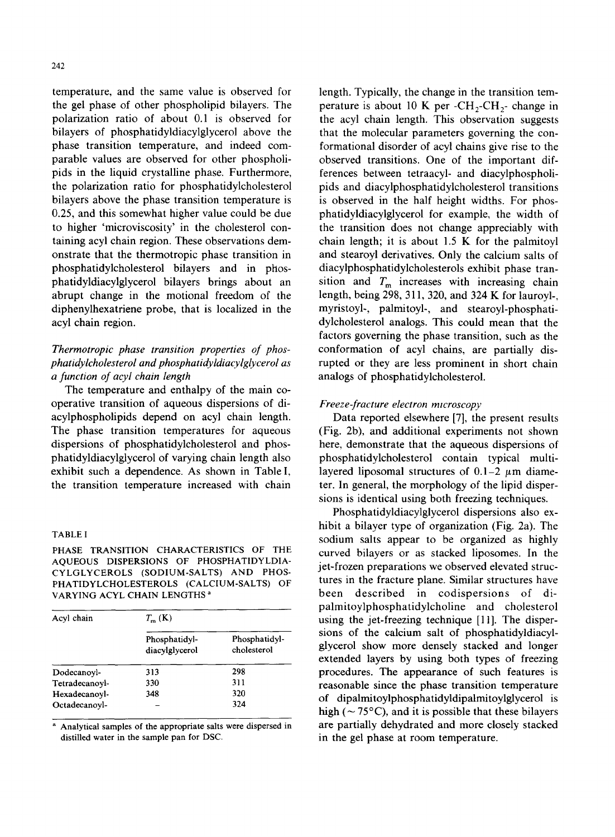242

temperature, and the same value is observed for the gel phase of other phospholipid bilayers. The polarization ratio of about 0.1 is observed for bilayers of phosphatidyldiacylglycerol above the phase transition temperature, and indeed comparable values are observed for other phospholipids in the liquid crystalline phase. Furthermore, the polarization ratio for phosphatidylcholesterol bilayers above the phase transition temperature is 0.25, and this somewhat higher value could be due to higher 'microviscosity' in the cholesterol containing acyl chain region. These observations demonstrate that the thermotropic phase transition in phosphatidylcholesterol bilayers and in phosphatidyldiacylglycerol bilayers brings about an abrupt change in the motional freedom of the diphenylhexatriene probe, that is localized in the acyl chain region.

# *Thermotropic phase transition properties of phosphatidylcholesterol and phosphatidyldiacylglycerol as a function of acyl chain length*

The temperature and enthalpy of the main cooperative transition of aqueous dispersions of diacylphospholipids depend on acyl chain length. The phase transition temperatures for aqueous dispersions of phosphatidylcholesterol and phosphatidyldiacylglycerol of varying chain length also exhibit such a dependence. As shown in Table I, the transition temperature increased with chain

#### TABLE I

PHASE TRANSITION CHARACTERISTICS OF THE AQUEOUS DISPERSIONS OF PHOSPHATIDYLDIA-CYLGLYCEROLS (SODIUM-SALTS) AND PHOS-PHATIDYLCHOLESTEROLS (CALCIUM-SALTS) OF VARYING ACYL CHAIN LENGTHS a

| Acyl chain     | $T_{m}(\mathbf{K})$             |                              |  |  |
|----------------|---------------------------------|------------------------------|--|--|
|                | Phosphatidyl-<br>diacylglycerol | Phosphatidyl-<br>cholesterol |  |  |
| Dodecanoyl-    | 313                             | 298                          |  |  |
| Tetradecanovl- | 330                             | 311                          |  |  |
| Hexadecanovl-  | 348                             | 320                          |  |  |
| Octadecanovl-  |                                 | 324                          |  |  |

a Analytical samples of the appropriate salts were dispersed in distilled water in the sample pan for DSC.

length. Typically, the change in the transition temperature is about 10 K per  $\text{-CH}_2\text{-CH}_2$ - change in the acyl chain length. This observation suggests that the molecular parameters governing the conformational disorder of acyl chains give rise to the observed transitions. One of the important differences between tetraacyl- and diacylphospholipids and diacylphosphatidylcholesterol transitions is observed in the half height widths. For phosphatidyldiacylglycerol for example, the width of the transition does not change appreciably with chain length; it is about 1.5 K for the palmitoyl and stearoyl derivatives. Only the calcium salts of diacylphosphatidylcholesterols exhibit phase transition and  $T_m$  increases with increasing chain length, being 298, 311,320, and 324 K for lauroyl-, myristoyl-, palmitoyl-, and stearoyl-phosphatidylcholesterol analogs. This could mean that the factors governing the phase transition, such as the conformation of acyl chains, are partially disrupted or they are less prominent in short chain analogs of phosphatidylcholesterol.

### *Freeze-fracture electron rmcroscopy*

Data reported elsewhere [7], the present results (Fig. 2b), and additional experiments not shown here, demonstrate that the aqueous dispersions of phosphatidylcholesterol contain typical multilayered liposomal structures of  $0.1-2 \mu m$  diameter. In general, the morphology of the lipid dispersions is identical using both freezing techniques.

Phosphatidyldiacylglycerol dispersions also exhibit a bilayer type of organization (Fig. 2a). The sodium salts appear to be organized as highly curved bilayers or as stacked liposomes. In the jet-frozen preparations we observed elevated structures in the fracture plane. Similar structures have been described in codispersions of dipalmitoylphosphatidylcholine and cholesterol using the jet-freezing technique [11]. The dispersions of the calcium salt of phosphatidyldiacylglycerol show more densely stacked and longer extended layers by using both types of freezing procedures. The appearance of such features is reasonable since the phase transition temperature of dipalmitoylphosphatidyldipalmitoylglycerol is high ( $\sim$  75 $^{\circ}$ C), and it is possible that these bilayers are partially dehydrated and more closely stacked in the gel phase at room temperature.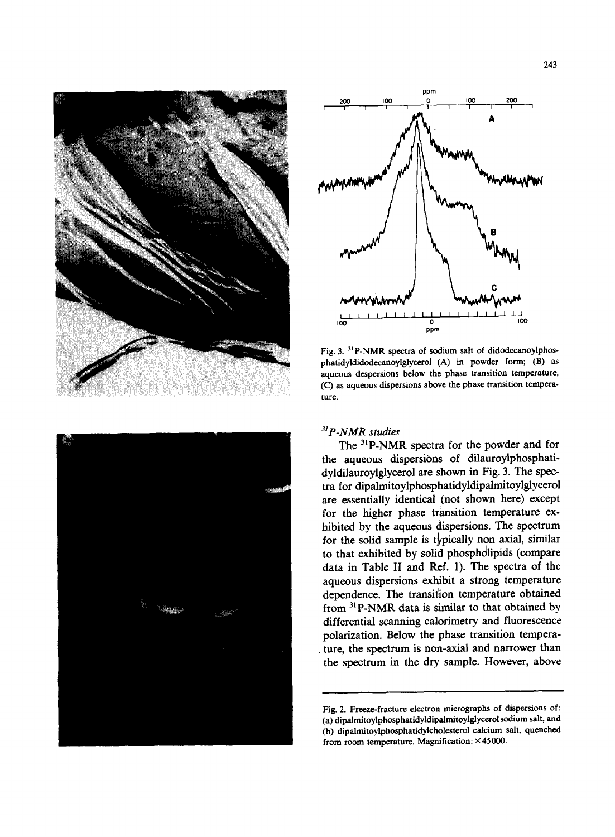





Fig. 3. <sup>31</sup>P-NMR spectra of sodium salt of didodecanoylphosphatidyldidodecanoylglycerol (A) in powder form; (B) as aqueous despersions below the phase transition temperature, (C) as aqueous dispersions above the phase transition temperature.

## *3s P-NMR studies*

The <sup>31</sup>P-NMR spectra for the powder and for the aqueous dispersions of dilauroylphosphatidyldilauroylglycerol are shown in Fig. 3. The spectra for dipalmitoylphosphatidyldipalrnitoylglycerol are essentially identical (not shown here) except for the higher phase transition temperature exhibited by the aqueous dispersions. The spectrum for the solid sample is typically non axial, similar to that exhibited by solid phospholipids (compare data in Table II and Ref. 1). The spectra of the aqueous dispersions exhibit a strong temperature dependence. The transition temperature obtained from 31p-NMR data is similar to that obtained by differential scanning calorimetry and fluorescence polarization. Below the phase transition temperature, the spectrum is non-axial and narrower than the spectrum in the dry sample. However, above

Fig. 2. Freeze-fracture electron micrographs of dispersions of: (a) dipalmitoylphosphatidyldipalmitoylglycerol sodium salt, and (b) dipalmitoylphosphatidylcholesterol calcium salt, quenched from room temperature. Magnification: ×45000.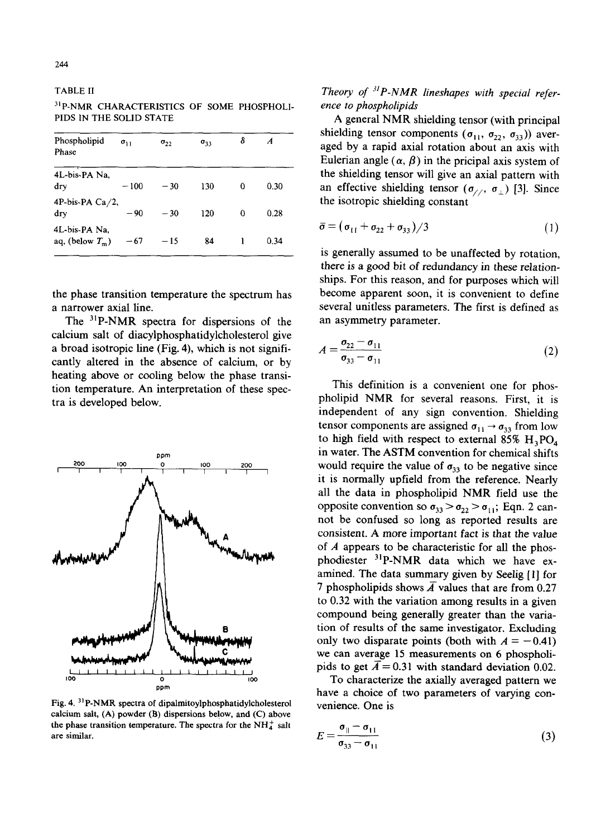TABLE II

31p-NMR CHARACTERISTICS OF SOME PHOSPHOLI-PIDS IN THE SOLID STATE

| Phospholipid<br>Phase               | $\sigma_{11}$ | $\sigma_{22}$ | $\sigma_{33}$ | δ | A    |
|-------------------------------------|---------------|---------------|---------------|---|------|
| 4L-bis-PA Na,<br>dry                | $-100$        | $-30$         | 130           | 0 | 0.30 |
| 4P-bis-PA $Ca/2$ ,<br>dry           | $-90$         | $-30$         | 120           | 0 | 0.28 |
| 4L-bis-PA Na.<br>aq, (below $T_m$ ) | $-67$         | $-15$         | 84            |   | 0.34 |

the phase transition temperature the spectrum has a narrower axial line.

The <sup>31</sup>P-NMR spectra for dispersions of the calcium salt of diacylphosphatidylcholesterol give a broad isotropic line (Fig. 4), which is not significantly altered in the absence of calcium, or by heating above or cooling below the phase transition temperature. An interpretation of these spectra is developed below.



Fig. 4.  $31P-NMR$  spectra of dipalmitoylphosphatidylcholesterol calcium salt,  $(A)$  powder  $(B)$  dispersions below, and  $(C)$  above the phase transition temperature. The spectra for the  $NH<sub>4</sub><sup>+</sup>$  salt are similar.

*Theory of <sup>31</sup>P-NMR lineshapes with special reference to phospholipids* 

A general NMR shielding tensor (with principal shielding tensor components ( $\sigma_{11}$ ,  $\sigma_{22}$ ,  $\sigma_{33}$ )) averaged by a rapid axial rotation about an axis with Eulerian angle  $(\alpha, \beta)$  in the pricipal axis system of the shielding tensor will give an axial pattern with an effective shielding tensor  $(\sigma_{//}, \sigma_{\perp})$  [3]. Since the isotropic shielding constant

$$
\bar{\sigma} = (\sigma_{11} + \sigma_{22} + \sigma_{33})/3 \tag{1}
$$

is generally assumed to be unaffected by rotation, there is a good bit of redundancy in these relationships. For this reason, and for purposes which will become apparent soon, it is convenient to define several unitless parameters. The first is defined as an asymmetry parameter.

$$
A = \frac{\sigma_{22} - \sigma_{11}}{\sigma_{33} - \sigma_{11}} \tag{2}
$$

This definition is a convenient one for phospholipid NMR for several reasons. First, it is independent of any sign convention. Shielding tensor components are assigned  $\sigma_{11} \rightarrow \sigma_{33}$  from low to high field with respect to external 85%  $H_3PO_4$ in water. The ASTM convention for chemical shifts would require the value of  $\sigma_{33}$  to be negative since it is normally upfield from the reference. Nearly all the data in phospholipid NMR field use the opposite convention so  $\sigma_{33} > \sigma_{22} > \sigma_{11}$ ; Eqn. 2 cannot be confused so long as reported results are consistent. A more important fact is that the value of  $A$  appears to be characteristic for all the phosphodiester 31P-NMR data which we have examined. The data summary given by Seelig [1] for 7 phospholipids shows  $\overline{A}$  values that are from 0.27 to 0.32 with the variation among results in a given compound being generally greater than the variation of results of the same investigator. Excluding only two disparate points (both with  $A = -0.41$ ) we can average 15 measurements on 6 phospholipids to get  $\overline{A} = 0.31$  with standard deviation 0.02.

To characterize the axially averaged pattern we have a choice of two parameters of varying convenience. One is

$$
E = \frac{\sigma_{\parallel} - \sigma_{11}}{\sigma_{33} - \sigma_{11}}\tag{3}
$$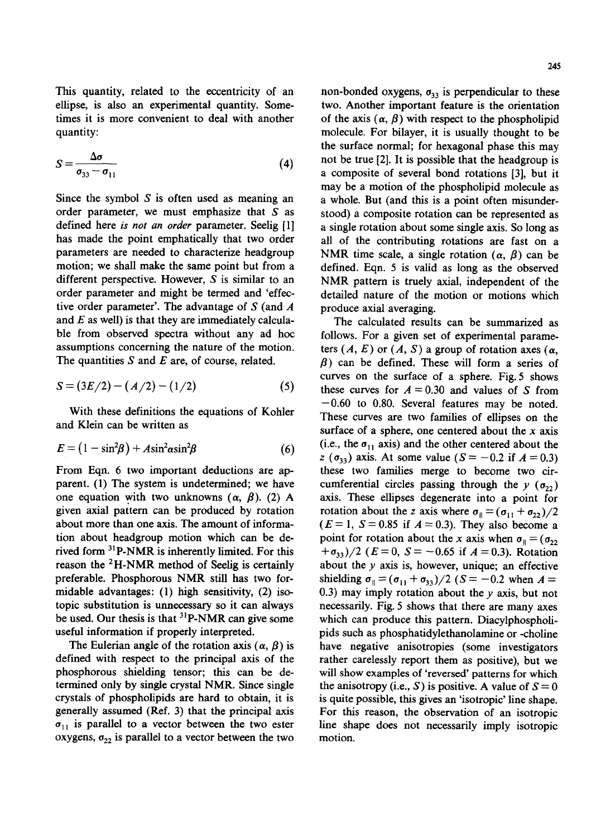This quantity, related to the eccentricity of an ellipse, is also an experimental quantity. Sometimes it is more convenient to deal with another quantity:

$$
S = \frac{\Delta \sigma}{\sigma_{33} - \sigma_{11}}\tag{4}
$$

Since the symbol  $S$  is often used as meaning an order parameter, we must emphasize that  $S$  as defined here *is not an order* parameter. Seelig [1] has made the point emphatically that two order parameters are needed to characterize headgroup motion; we shall make the same point but from a different perspective. However, S is similar to an order parameter and might be termed and 'effective order parameter'. The advantage of  $S$  (and  $A$ and  $E$  as well) is that they are immediately calculable from observed spectra without any ad hoc assumptions concerning the nature of the motion. The quantities  $S$  and  $E$  are, of course, related.

$$
S = (3E/2) - (A/2) - (1/2)
$$
 (5)

With these definitions the equations of Kohler and Klein can be written as

$$
E = (1 - \sin^2\beta) + A\sin^2\alpha\sin^2\beta \tag{6}
$$

From Eqn. 6 two important deductions are apparent. (1) The system is undetermined; we have one equation with two unknowns  $(\alpha, \beta)$ . (2) A given axial pattern can be produced by rotation about more than one axis. The amount of information about headgroup motion which can be derived form <sup>31</sup>P-NMR is inherently limited. For this reason the 2H-NMR method of Seelig is certainly preferable. Phosphorous NMR still has two formidable advantages: (1) high sensitivity, (2) isotopic substitution is unnecessary so it can always be used. Our thesis is that  $3^{1}P\text{-NMR}$  can give some useful information if properly interpreted.

The Eulerian angle of the rotation axis  $(\alpha, \beta)$  is defined with respect to the principal axis of the phosphorous shielding tensor; this can be determined only by single crystal NMR. Since single crystals of phospholipids are hard to obtain, it is generally assumed (Ref. 3) that the principal axis  $\sigma_{11}$  is parallel to a vector between the two ester oxygens,  $\sigma_{22}$  is parallel to a vector between the two

non-bonded oxygens,  $\sigma_{33}$  is perpendicular to these two. Another important feature is the orientation of the axis  $(\alpha, \beta)$  with respect to the phospholipid molecule. For bilayer, it is usually thought to be the surface normal; for hexagonal phase this may not be true [2]. It is possible that the headgroup is a composite of several bond rotations [3], but it may be a motion of the phospholipid molecule as a whole. But (and this is a point often misunderstood) a composite rotation can be represented as a single rotation about some single axis. So long as all of the contributing rotations are fast on a NMR time scale, a single rotation  $(\alpha, \beta)$  can be defined. Eqn. 5 is valid as long as the observed NMR pattern is truely axial, independent of the detailed nature of the motion or motions which produce axial averaging.

The calculated results can be summarized as follows. For a given set of experimental parameters  $(A, E)$  or  $(A, S)$  a group of rotation axes  $(\alpha,$  $\beta$ ) can be defined. These will form a series of curves on the surface of a sphere. Fig. 5 shows these curves for  $A = 0.30$  and values of S from  $-0.60$  to 0.80. Several features may be noted. These curves are two families of ellipses on the surface of a sphere, one centered about the  $x$  axis (i.e., the  $\sigma_{11}$  axis) and the other centered about the z ( $\sigma_{33}$ ) axis. At some value ( $S = -0.2$  if  $A = 0.3$ ) these two families merge to become two circumferential circles passing through the  $y(\sigma_{22})$ axis. These ellipses degenerate into a point for rotation about the z axis where  $\sigma_{\parallel} = (\sigma_{11} + \sigma_{22})/2$  $(E=1, S=0.85$  if  $A=0.3$ ). They also become a point for rotation about the x axis when  $\sigma_{\parallel} = (\sigma_{22})$  $+\sigma_{33})/2$  ( $E=0$ ,  $S=-0.65$  if  $A=0.3$ ). Rotation about the  $y$  axis is, however, unique; an effective shielding  $\sigma_{\parallel} = (\sigma_{11} + \sigma_{33})/2$  (S = -0.2 when A = 0.3) may imply rotation about the  $y$  axis, but not necessarily. Fig. 5 shows that there are many axes which can produce this pattern. Diacylphospholipids such as phosphatidylethanolamine or -choline have negative anisotropies (some investigators rather carelessly report them as positive), but we will show examples of 'reversed' patterns for which the anisotropy (i.e., S) is positive. A value of  $S = 0$ is quite possible, this gives an 'isotropic' line shape. For this reason, the observation of an isotropic line shape does not necessarily imply isotropic motion.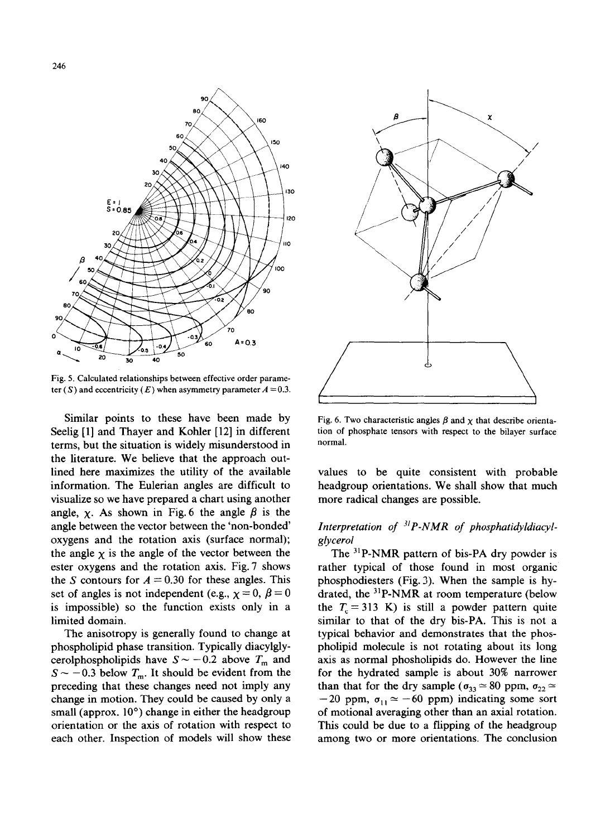

Fig. 5. Calculated relationships between effective order parameter (S) and eccentricity (E) when asymmetry parameter  $A = 0.3$ .

Similar points to these have been made by Seelig [1] and Thayer and Kohler [12] in different terms, but the situation is widely misunderstood in the literature. We believe that the approach outlined here maximizes the utility of the available information. The Eulerian angles are difficult to visualize so we have prepared a chart using another angle,  $\chi$ . As shown in Fig. 6 the angle  $\beta$  is the angle between the vector between the 'non-bonded' oxygens and the rotation axis (surface normal); the angle  $\chi$  is the angle of the vector between the ester oxygens and the rotation axis. Fig. 7 shows the S contours for  $A = 0.30$  for these angles. This set of angles is not independent (e.g.,  $\chi=0, \beta=0$ is impossible) so the function exists only in a limited domain.

The anisotropy is generally found to change at phospholipid phase transition. Typically diacylglycerolphospholipids have  $S \sim -0.2$  above  $T_{\text{m}}$  and  $S \sim -0.3$  below  $T_{\text{m}}$ . It should be evident from the preceding that these changes need not imply any change in motion. They could be caused by only a small (approx.  $10^{\circ}$ ) change in either the headgroup orientation or the axis of rotation with respect to each other. Inspection of models will show these



Fig. 6. Two characteristic angles  $\beta$  and  $\chi$  that describe orientation of phosphate tensors with respect to the bilayer surface normal.

values to be quite consistent with probable headgroup orientations. We shall show that much more radical changes are possible.

# *Interpretation of 31P-NMR of phosphatidyldiacylglycerol*

The  $31P-NMR$  pattern of bis-PA dry powder is rather typical of those found in most organic phosphodiesters (Fig. 3). When the sample is hydrated, the  $31P-NMR$  at room temperature (below the  $T_c = 313$  K) is still a powder pattern quite similar to that of the dry bis-PA. This is not a typical behavior and demonstrates that the phospholipid molecule is not rotating about its long axis as normal phosholipids do. However the line for the hydrated sample is about 30% narrower than that for the dry sample ( $\sigma_{33} \approx 80$  ppm,  $\sigma_{22} \approx$  $-20$  ppm,  $\sigma_{11} \approx -60$  ppm) indicating some sort of motional averaging other than an axial rotation. This could be due to a flipping of the headgroup among two or more orientations. The conclusion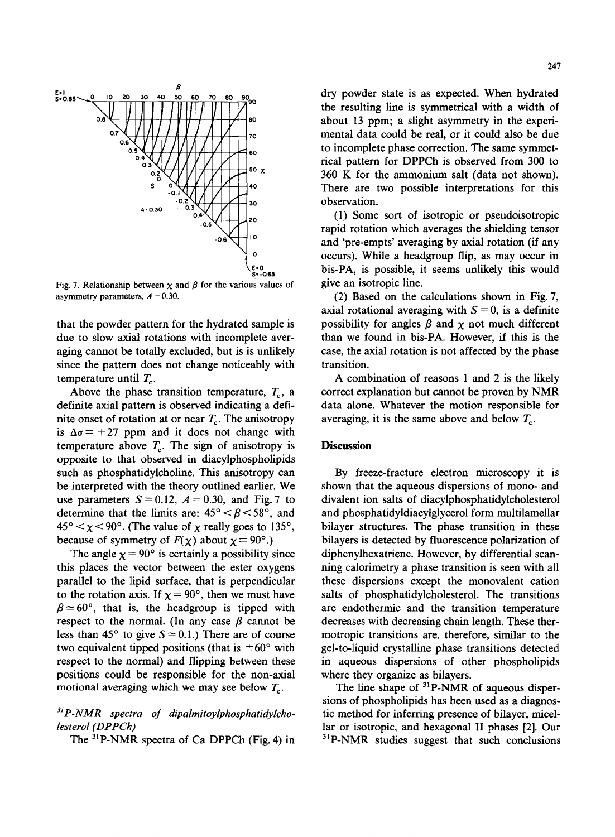

Fig. 7. Relationship between  $x$  and  $\beta$  for the various values of asymmetry parameters,  $A = 0.30$ .

that the powder pattern for the hydrated sample is due to slow axial rotations with incomplete averaging cannot be totally excluded, but is is unlikely since the pattern does not change noticeably with temperature until  $T_c$ .

Above the phase transition temperature,  $T_c$ , a definite axial pattern is observed indicating a definite onset of rotation at or near  $T_c$ . The anisotropy is  $\Delta \sigma = +27$  ppm and it does not change with temperature above  $T_c$ . The sign of anisotropy is opposite to that observed in diacylphospholipids such as phosphatidylcholine. This anisotropy can be interpreted with the theory outlined earlier. We use parameters  $S=0.12$ ,  $A=0.30$ , and Fig. 7 to determine that the limits are:  $45^{\circ} < \beta < 58^{\circ}$ , and  $45^{\circ} < \chi < 90^{\circ}$ . (The value of  $\chi$  really goes to 135°, because of symmetry of  $F(\chi)$  about  $\chi = 90^{\circ}$ .)

The angle  $\chi = 90^{\circ}$  is certainly a possibility since this places the vector between the ester oxygens parallel to the lipid surface, that is perpendicular to the rotation axis. If  $\chi = 90^{\circ}$ , then we must have  $\beta \approx 60^{\circ}$ , that is, the headgroup is tipped with respect to the normal. (In any case  $\beta$  cannot be less than 45° to give  $S \approx 0.1$ .) There are of course two equivalent tipped positions (that is  $\pm 60^{\circ}$  with respect to the normal) and flipping between these positions could be responsible for the non-axial motional averaging which we may see below  $T_c$ .

# *3~p-NMR spectra of dipalmitoylphosphatidylcholesterol (DPPCh)*

The <sup>31</sup>P-NMR spectra of Ca DPPCh (Fig. 4) in

dry powder state is as expected. When hydrated the resulting line is symmetrical with a width of about 13 ppm, a slight asymmetry in the experimental data could be real, or it could also be due to incomplete phase correction. The same symmetrical pattern for DPPCh is observed from 300 to 360 K for the ammonium salt (data not shown). There are two possible interpretations for this observation.

(1) Some sort of isotropic or pseudoisotropic rapid rotation which averages the shielding tensor and 'pre-empts' averaging by axial rotation (if any occurs). While a headgroup flip, as may occur in bis-PA, is possible, it seems unlikely this would give an isotropic line.

(2) Based on the calculations shown in Fig. 7, axial rotational averaging with  $S = 0$ , is a definite possibility for angles  $\beta$  and  $\chi$  not much different than we found in bis-PA. However, if this is the case, the axial rotation is not affected by the phase transition.

A combination of reasons 1 and 2 is the likely correct explanation but cannot be proven by NMR data alone. Whatever the motion responsible for averaging, it is the same above and below  $T_c$ .

#### **Discussion**

By freeze-fracture electron microscopy it is shown that the aqueous dispersions of mono- and divalent ion salts of diacylphosphatidylcholesterol and phosphatidyldiacylglycerol form multilamellar bilayer structures. The phase transition in these bilayers is detected by fluorescence polarization of diphenylhexatriene. However, by differential scanning calorimetry a phase transition is seen with all these dispersions except the monovalent cation salts of phosphatidylcholesterol. The transitions are endothermic and the transition temperature decreases with decreasing chain length. These thermotropic transitions are, therefore, similar to the gel-to-liquid crystalline phase transitions detected in aqueous dispersions of other phospholipids where they organize as bilayers.

The line shape of  $31P-NMR$  of aqueous dispersions of phospholipids has been used as a diagnostic method for inferring presence of bilayer, micellar or isotropic, and hexagonal II phases [2]. Our  $3^{1}P\text{-NMR}$  studies suggest that such conclusions